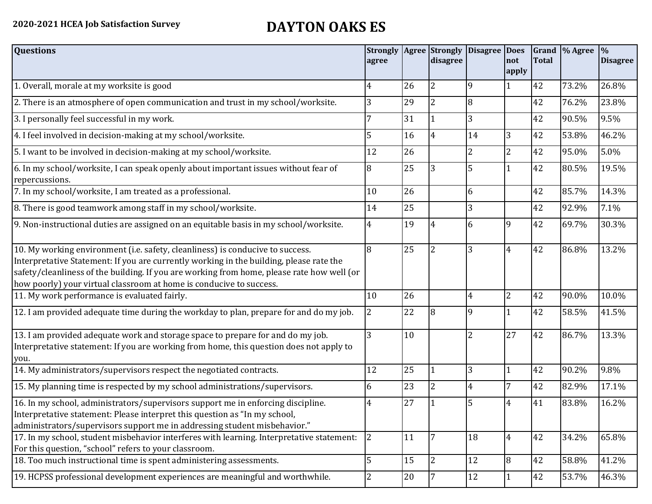## **2020-2021 HCEA Job Satisfaction Survey DAYTON OAKS ES**

| <b>Questions</b>                                                                                                                                                                                                                                                                                                                               | agree |        | disagree       | Strongly   Agree   Strongly   Disagree   Does | not<br>apply   | <b>Total</b> | Grand \% Agree | $\frac{1}{2}$<br><b>Disagree</b> |
|------------------------------------------------------------------------------------------------------------------------------------------------------------------------------------------------------------------------------------------------------------------------------------------------------------------------------------------------|-------|--------|----------------|-----------------------------------------------|----------------|--------------|----------------|----------------------------------|
| 1. Overall, morale at my worksite is good                                                                                                                                                                                                                                                                                                      | 4     | 26     | 2              | 9                                             |                | 42           | 73.2%          | 26.8%                            |
| 2. There is an atmosphere of open communication and trust in my school/worksite.                                                                                                                                                                                                                                                               | 3     | 29     | $\overline{2}$ | 8                                             |                | 42           | 76.2%          | 23.8%                            |
| 3. I personally feel successful in my work.                                                                                                                                                                                                                                                                                                    |       | 31     |                | 3                                             |                | 42           | 90.5%          | 9.5%                             |
| 4. I feel involved in decision-making at my school/worksite.                                                                                                                                                                                                                                                                                   | 5     | 16     | $\overline{4}$ | 14                                            | 3              | 42           | 53.8%          | 46.2%                            |
| 5. I want to be involved in decision-making at my school/worksite.                                                                                                                                                                                                                                                                             | 12    | 26     |                | 2                                             | $\overline{2}$ | 42           | 95.0%          | 5.0%                             |
| 6. In my school/worksite, I can speak openly about important issues without fear of<br>repercussions.                                                                                                                                                                                                                                          | 8     | 25     | 3              | 5                                             |                | 42           | 80.5%          | 19.5%                            |
| 7. In my school/worksite, I am treated as a professional.                                                                                                                                                                                                                                                                                      | 10    | 26     |                | 6                                             |                | 42           | 85.7%          | 14.3%                            |
| 8. There is good teamwork among staff in my school/worksite.                                                                                                                                                                                                                                                                                   | 14    | 25     |                | 3                                             |                | 42           | 92.9%          | 7.1%                             |
| 9. Non-instructional duties are assigned on an equitable basis in my school/worksite.                                                                                                                                                                                                                                                          | 4     | 19     | 4              | 6                                             | 9              | 42           | 69.7%          | 30.3%                            |
| 10. My working environment (i.e. safety, cleanliness) is conducive to success.<br>Interpretative Statement: If you are currently working in the building, please rate the<br>safety/cleanliness of the building. If you are working from home, please rate how well (or<br>how poorly) your virtual classroom at home is conducive to success. | 8     | 25     | $\overline{2}$ | 3                                             | $\overline{4}$ | 42           | 86.8%          | 13.2%                            |
| 11. My work performance is evaluated fairly.                                                                                                                                                                                                                                                                                                   | 10    | 26     |                | 4                                             | $\overline{2}$ | 42           | 90.0%          | 10.0%                            |
| 12. I am provided adequate time during the workday to plan, prepare for and do my job.                                                                                                                                                                                                                                                         | 2     | 22     | 8              | 9                                             |                | 42           | 58.5%          | 41.5%                            |
| 13. I am provided adequate work and storage space to prepare for and do my job.<br>Interpretative statement: If you are working from home, this question does not apply to<br>you.                                                                                                                                                             | 3     | 10     |                | $\overline{2}$                                | 27             | 42           | 86.7%          | 13.3%                            |
| 14. My administrators/supervisors respect the negotiated contracts.                                                                                                                                                                                                                                                                            | 12    | 25     | $\mathbf{1}$   | 3                                             |                | 42           | 90.2%          | 9.8%                             |
| 15. My planning time is respected by my school administrations/supervisors.                                                                                                                                                                                                                                                                    | 6     | 23     | $\overline{2}$ | 4                                             |                | 42           | 82.9%          | 17.1%                            |
| 16. In my school, administrators/supervisors support me in enforcing discipline.<br>Interpretative statement: Please interpret this question as "In my school,<br>administrators/supervisors support me in addressing student misbehavior."                                                                                                    | 4     | 27     |                | 5                                             | 4              | 41           | 83.8%          | 16.2%                            |
| 17. In my school, student misbehavior interferes with learning. Interpretative statement:<br>For this question, "school" refers to your classroom.                                                                                                                                                                                             | 2     | 11     | 7              | 18                                            | $\overline{4}$ | 42           | 34.2%          | 65.8%                            |
| 18. Too much instructional time is spent administering assessments.                                                                                                                                                                                                                                                                            | 5     | 15     | $\overline{2}$ | 12                                            | 8              | 42           | 58.8%          | 41.2%                            |
| 19. HCPSS professional development experiences are meaningful and worthwhile.                                                                                                                                                                                                                                                                  | 2     | $20\,$ | 7              | 12                                            | 1              | 42           | 53.7%          | 46.3%                            |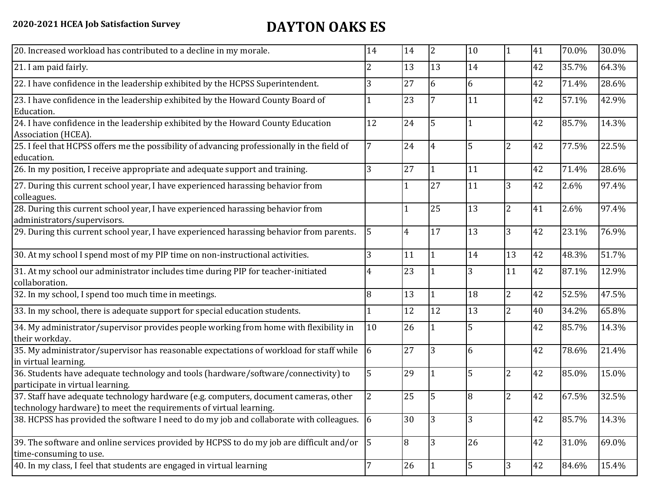## **2020-2021 HCEA Job Satisfaction Survey DAYTON OAKS ES**

| 20. Increased workload has contributed to a decline in my morale.                                                                                          | 14             | 14             | 2            | 10 | 1              | 41 | 70.0% | 30.0% |
|------------------------------------------------------------------------------------------------------------------------------------------------------------|----------------|----------------|--------------|----|----------------|----|-------|-------|
| 21. I am paid fairly.                                                                                                                                      | 2              | 13             | 13           | 14 |                | 42 | 35.7% | 64.3% |
| 22. I have confidence in the leadership exhibited by the HCPSS Superintendent.                                                                             | 3              | 27             | 6            | 6  |                | 42 | 71.4% | 28.6% |
| 23. I have confidence in the leadership exhibited by the Howard County Board of<br>Education.                                                              |                | 23             | 7            | 11 |                | 42 | 57.1% | 42.9% |
| 24. I have confidence in the leadership exhibited by the Howard County Education<br>Association (HCEA).                                                    | 12             | 24             | 5            |    |                | 42 | 85.7% | 14.3% |
| 25. I feel that HCPSS offers me the possibility of advancing professionally in the field of<br>education.                                                  | 7              | 24             | 4            | 5  | $\overline{c}$ | 42 | 77.5% | 22.5% |
| 26. In my position, I receive appropriate and adequate support and training.                                                                               | 3              | 27             | 1            | 11 |                | 42 | 71.4% | 28.6% |
| 27. During this current school year, I have experienced harassing behavior from<br>colleagues.                                                             |                |                | 27           | 11 | 3              | 42 | 2.6%  | 97.4% |
| 28. During this current school year, I have experienced harassing behavior from<br>administrators/supervisors.                                             |                |                | 25           | 13 | $\overline{c}$ | 41 | 2.6%  | 97.4% |
| 29. During this current school year, I have experienced harassing behavior from parents.                                                                   | $\overline{5}$ | $\overline{4}$ | 17           | 13 | 3              | 42 | 23.1% | 76.9% |
| 30. At my school I spend most of my PIP time on non-instructional activities.                                                                              | 3              | 11             | $\mathbf{1}$ | 14 | 13             | 42 | 48.3% | 51.7% |
| 31. At my school our administrator includes time during PIP for teacher-initiated<br>collaboration.                                                        | 4              | 23             |              | 3  | 11             | 42 | 87.1% | 12.9% |
| 32. In my school, I spend too much time in meetings.                                                                                                       | 8              | 13             | $\mathbf 1$  | 18 | $\overline{2}$ | 42 | 52.5% | 47.5% |
| 33. In my school, there is adequate support for special education students.                                                                                |                | 12             | 12           | 13 | $\overline{2}$ | 40 | 34.2% | 65.8% |
| 34. My administrator/supervisor provides people working from home with flexibility in<br>their workday.                                                    | 10             | 26             |              | 5  |                | 42 | 85.7% | 14.3% |
| 35. My administrator/supervisor has reasonable expectations of workload for staff while<br>in virtual learning.                                            | 6              | 27             | 3            | 6  |                | 42 | 78.6% | 21.4% |
| 36. Students have adequate technology and tools (hardware/software/connectivity) to<br>participate in virtual learning.                                    | 5              | 29             |              | 5  | $\overline{2}$ | 42 | 85.0% | 15.0% |
| 37. Staff have adequate technology hardware (e.g. computers, document cameras, other<br>technology hardware) to meet the requirements of virtual learning. |                | 25             | 5            | 8  | $\overline{c}$ | 42 | 67.5% | 32.5% |
| 38. HCPSS has provided the software I need to do my job and collaborate with colleagues. 6                                                                 |                | 30             | 3            | 3  |                | 42 | 85.7% | 14.3% |
| 39. The software and online services provided by HCPSS to do my job are difficult and/or<br>time-consuming to use.                                         | $\vert$ 5      | 18             | 3            | 26 |                | 42 | 31.0% | 69.0% |
| 40. In my class, I feel that students are engaged in virtual learning                                                                                      |                | 26             | 1            | 5  | 3              | 42 | 84.6% | 15.4% |